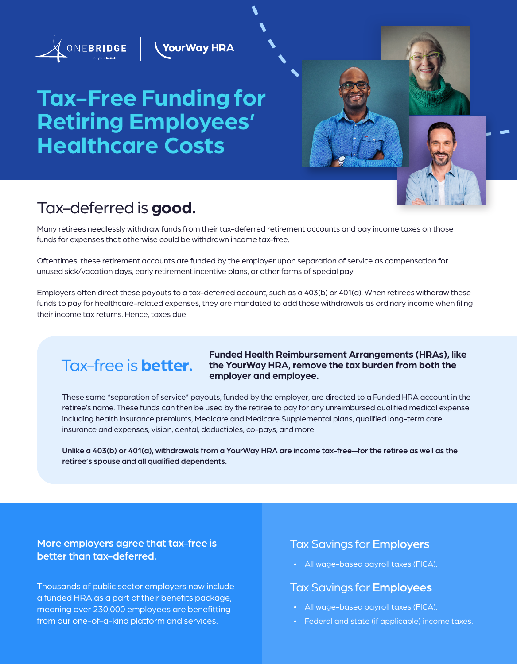

**YourWay HRA** 

# **Tax-Free Funding for Retiring Employees' Healthcare Costs**

### Tax-deferred is **good.**

Many retirees needlessly withdraw funds from their tax-deferred retirement accounts and pay income taxes on those funds for expenses that otherwise could be withdrawn income tax-free.

Oftentimes, these retirement accounts are funded by the employer upon separation of service as compensation for unused sick/vacation days, early retirement incentive plans, or other forms of special pay.

Employers often direct these payouts to a tax-deferred account, such as a 403(b) or 401(a). When retirees withdraw these funds to pay for healthcare-related expenses, they are mandated to add those withdrawals as ordinary income when filing their income tax returns. Hence, taxes due.

### Tax-free is **better.**

#### **Funded Health Reimbursement Arrangements (HRAs), like the YourWay HRA, remove the tax burden from both the employer and employee.**

These same "separation of service" payouts, funded by the employer, are directed to a Funded HRA account in the retiree's name. These funds can then be used by the retiree to pay for any unreimbursed qualified medical expense including health insurance premiums, Medicare and Medicare Supplemental plans, qualified long-term care insurance and expenses, vision, dental, deductibles, co-pays, and more.

Unlike a 403(b) or 401(a), withdrawals from a YourWay HRA are income tax-free—for the retiree as well as the retiree's spouse and all qualified dependents.

More employers agree that tax-free is better than tax-deferred.

Thousands of public sector employers now include a funded HRA as a part of their benefits package, meaning over 230,000 employees are benefitting from our one-of-a-kind platform and services.

#### Tax Savings for Employers

• All wage-based payroll taxes (FICA).

#### Tax Savings for Employees

- All wage-based payroll taxes (FICA).
- Federal and state (if applicable) income taxes.